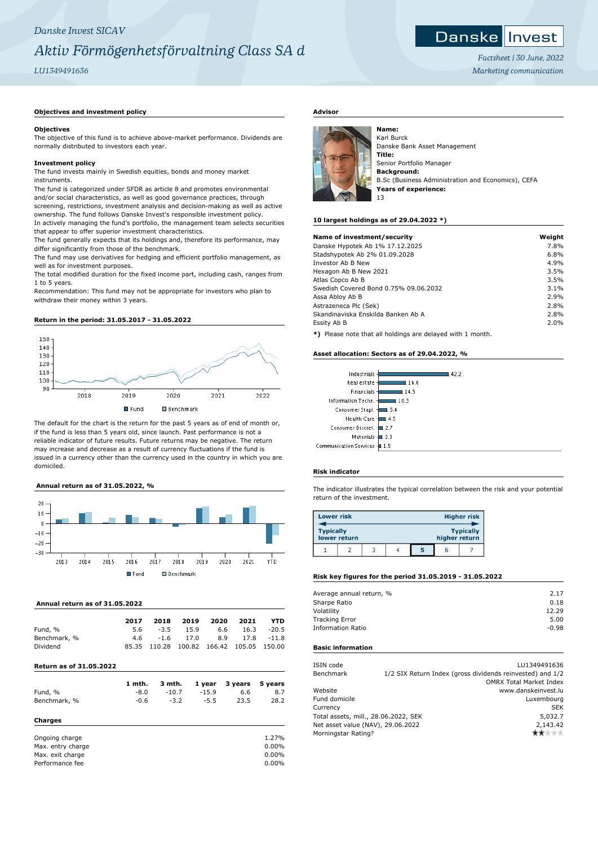## *Danske Invest SICAV Aktiv Förmögenhetsförvaltning Class SA d*

## *LU1349491636*

## **Objectives and investment policy**

#### **Objectives**

The objective of this fund is to achieve above-market performance. Dividends are normally distributed to investors each year.

#### **Investment policy**

The fund invests mainly in Swedish equities, bonds and money market instruments.

The fund is categorized under SFDR as article 8 and promotes environmental and/or social characteristics, as well as good governance practices, through screening, restrictions, investment analysis and decision-making as well as active ownership. The fund follows Danske Invest's responsible investment policy. In actively managing the fund's portfolio, the management team selects securities that appear to offer superior investment characteristics.

The fund generally expects that its holdings and, therefore its performance, may differ significantly from those of the benchmark.

The fund may use derivatives for hedging and efficient portfolio management, as well as for investment purposes.

The total modified duration for the fixed income part, including cash, ranges from 1 to 5 years.

Recommendation: This fund may not be appropriate for investors who plan to withdraw their money within 3 years.

#### **Return in the period: 31.05.2017 - 31.05.2022**



The default for the chart is the return for the past 5 years as of end of month or, if the fund is less than 5 years old, since launch. Past performance is not a reliable indicator of future results. Future returns may be negative. The return may increase and decrease as a result of currency fluctuations if the fund is issued in a currency other than the currency used in the country in which you are domiciled.

### **Annual return as of 31.05.2022, %**



#### **Annual return as of 31.05.2022**

| 2017 | 2018 |     |        |                   | <b>YTD</b>                                                                              |
|------|------|-----|--------|-------------------|-----------------------------------------------------------------------------------------|
|      |      |     |        |                   | $16.3 - 20.5$                                                                           |
|      |      |     |        |                   |                                                                                         |
|      |      |     |        |                   |                                                                                         |
|      |      | 5.6 | $-3.5$ | 2019 2020<br>15.9 | 2021<br>6.6<br>4.6 -1.6 17.0 8.9 17.8 -11.8<br>85.35 110.28 100.82 166.42 105.05 150.00 |

## **Return as of 31.05.2022**

|              | 1 mth. | 3 mth.  | 1 year  | 3 years 5 years |      |
|--------------|--------|---------|---------|-----------------|------|
| Fund, %      | $-8.0$ | $-10.7$ | $-15.9$ | 6.6             | 8.7  |
| Benchmark, % | $-0.6$ | $-3.2$  | $-5.5$  | 23.5            | 28.2 |
| Charges      |        |         |         |                 |      |

| 1.27%    |
|----------|
| $0.00\%$ |
| $0.00\%$ |
| $0.00\%$ |
|          |

## **Advisor**



Karl Burck Danske Bank Asset Management **Title:** Senior Portfolio Manager **Background:** B.Sc (Business Administration and Economics), CEFA **Years of experience:** 13

#### **10 largest holdings as of 29.04.2022 \*)**

| Name of investment/security                                     | Weight |
|-----------------------------------------------------------------|--------|
| Danske Hypotek Ab 1% 17.12.2025                                 | 7.8%   |
| Stadshypotek Ab 2% 01.09.2028                                   | 6.8%   |
| Investor Ab B New                                               | 4.9%   |
| Hexagon Ab B New 2021                                           | 3.5%   |
| Atlas Copco Ab B                                                | 3.5%   |
| Swedish Covered Bond 0.75% 09.06.2032                           | 3.1%   |
| Assa Abloy Ab B                                                 | 2.9%   |
| Astrazeneca Plc (Sek)                                           | 2.8%   |
| Skandinaviska Enskilda Banken Ab A                              | 2.8%   |
| Essity Ab B                                                     | 2.0%   |
| ◆\ Discord code disciplined discorders deleted code for accept. |        |

**\*)** Please note that all holdings are delayed with 1 month.

#### **Asset allocation: Sectors as of 29.04.2022, %**

| Industrials -                | 42.2       |
|------------------------------|------------|
| Real estate -                | l 16.6     |
| Financials -                 | 14.5       |
| Information Techn. -         | 10.3       |
| Consumer Stapl.              | .5.4       |
| Health Care -                | 4.5        |
| Consumer Discret. 4          | $\Box$ 2.7 |
| Materials $\pm$ 2.3          |            |
| Communication Services - 1.5 |            |

#### **Risk indicator**

The indicator illustrates the typical correlation between the risk and your potential return of the investment.

| <b>Lower risk</b> |              |  |               | <b>Higher risk</b> |
|-------------------|--------------|--|---------------|--------------------|
| <b>Typically</b>  | lower return |  | higher return | <b>Typically</b>   |
|                   |              |  | h             |                    |

## **Risk key figures for the period 31.05.2019 - 31.05.2022**

| Average annual return, % | 2.17    |
|--------------------------|---------|
| Sharpe Ratio             | 0.18    |
| Volatility               | 12.29   |
| <b>Tracking Error</b>    | 5.00    |
| <b>Information Ratio</b> | $-0.98$ |
|                          |         |

## **Basic information**

| ISIN code                            |          | LU1349491636                                              |
|--------------------------------------|----------|-----------------------------------------------------------|
| Benchmark                            |          | 1/2 SIX Return Index (gross dividends reinvested) and 1/2 |
|                                      |          | <b>OMRX Total Market Index</b>                            |
| Website                              |          | www.danskeinvest.lu                                       |
| Fund domicile                        |          | Luxembourg                                                |
| Currency                             |          | <b>SEK</b>                                                |
| Total assets, mill., 28.06.2022, SEK | 5,032.7  |                                                           |
| Net asset value (NAV), 29.06.2022    | 2,143.42 |                                                           |
| Morningstar Rating?                  |          |                                                           |
|                                      |          |                                                           |



*Factsheet | 30 June, 2022 Marketing communication*